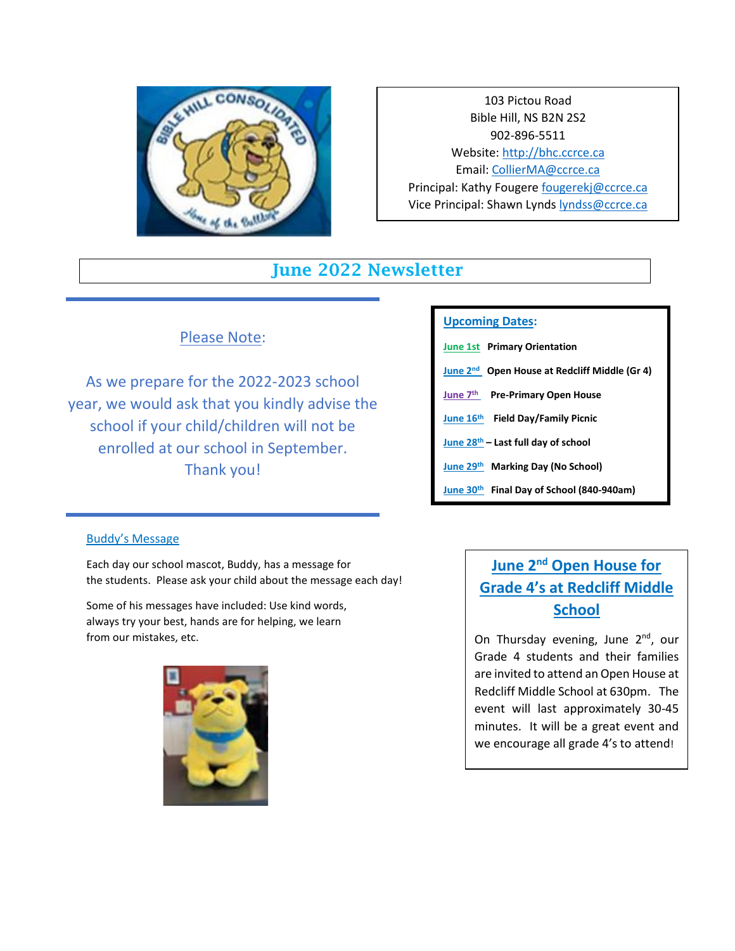

103 Pictou Road Bible Hill, NS B2N 2S2 902-896-5511 Website[: http://bhc.ccrce.ca](http://bhc.ccrce.ca/) Email: [CollierMA@ccrce.ca](mailto:CollierMA@ccrce.ca) Principal: Kathy Fougere [fougerekj@ccrce.ca](mailto:fougerekj@ccrce.ca) Vice Principal: Shawn Lynds [lyndss@ccrce.ca](mailto:lyndss@ccrce.ca)

## June 2022 Newsletter

### Please Note:

As we prepare for the 2022-2023 school year, we would ask that you kindly advise the school if your child/children will not be enrolled at our school in September. Thank you!

#### **Upcoming Dates:**

- **June 1st Primary Orientation**
- **June 2nd Open House at Redcliff Middle (Gr 4)**
- **June 7 th Pre-Primary Open House**
- **June 16th Field Day/Family Picnic**
- **June 28th – Last full day of school**
- **June 29th Marking Day (No School)**
- **June 30th Final Day of School (840-940am)**

#### Buddy's Message

Each day our school mascot, Buddy, has a message for the students. Please ask your child about the message each day!

Some of his messages have included: Use kind words, always try your best, hands are for helping, we learn from our mistakes, etc.



# **June 2nd Open House for Grade 4's at Redcliff Middle School**

On Thursday evening, June 2<sup>nd</sup>, our Grade 4 students and their families are invited to attend an Open House at Redcliff Middle School at 630pm. The event will last approximately 30-45 minutes. It will be a great event and we encourage all grade 4's to attend!